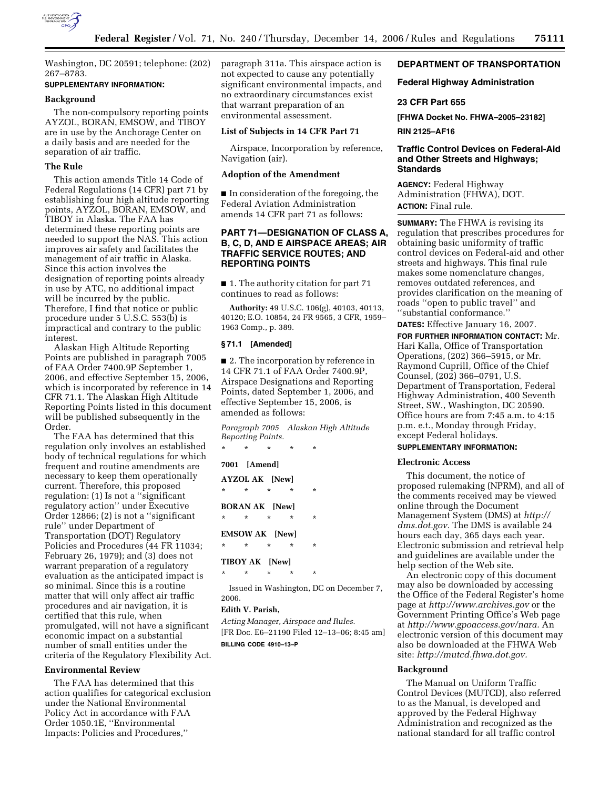

Washington, DC 20591; telephone: (202) 267–8783.

# **SUPPLEMENTARY INFORMATION:**

# **Background**

The non-compulsory reporting points AYZOL, BORAN, EMSOW, and TIBOY are in use by the Anchorage Center on a daily basis and are needed for the separation of air traffic.

### **The Rule**

This action amends Title 14 Code of Federal Regulations (14 CFR) part 71 by establishing four high altitude reporting points, AYZOL, BORAN, EMSOW, and TIBOY in Alaska. The FAA has determined these reporting points are needed to support the NAS. This action improves air safety and facilitates the management of air traffic in Alaska. Since this action involves the designation of reporting points already in use by ATC, no additional impact will be incurred by the public. Therefore, I find that notice or public procedure under 5 U.S.C. 553(b) is impractical and contrary to the public interest.

Alaskan High Altitude Reporting Points are published in paragraph 7005 of FAA Order 7400.9P September 1, 2006, and effective September 15, 2006, which is incorporated by reference in 14 CFR 71.1. The Alaskan High Altitude Reporting Points listed in this document will be published subsequently in the Order.

The FAA has determined that this regulation only involves an established body of technical regulations for which frequent and routine amendments are necessary to keep them operationally current. Therefore, this proposed regulation: (1) Is not a ''significant regulatory action'' under Executive Order 12866; (2) is not a ''significant rule'' under Department of Transportation (DOT) Regulatory Policies and Procedures (44 FR 11034; February 26, 1979); and (3) does not warrant preparation of a regulatory evaluation as the anticipated impact is so minimal. Since this is a routine matter that will only affect air traffic procedures and air navigation, it is certified that this rule, when promulgated, will not have a significant economic impact on a substantial number of small entities under the criteria of the Regulatory Flexibility Act.

# **Environmental Review**

The FAA has determined that this action qualifies for categorical exclusion under the National Environmental Policy Act in accordance with FAA Order 1050.1E, ''Environmental Impacts: Policies and Procedures,''

paragraph 311a. This airspace action is not expected to cause any potentially significant environmental impacts, and no extraordinary circumstances exist that warrant preparation of an environmental assessment.

## **List of Subjects in 14 CFR Part 71**

Airspace, Incorporation by reference, Navigation (air).

# **Adoption of the Amendment**

■ In consideration of the foregoing, the Federal Aviation Administration amends 14 CFR part 71 as follows:

# **PART 71—DESIGNATION OF CLASS A, B, C, D, AND E AIRSPACE AREAS; AIR TRAFFIC SERVICE ROUTES; AND REPORTING POINTS**

■ 1. The authority citation for part 71 continues to read as follows:

**Authority:** 49 U.S.C. 106(g), 40103, 40113, 40120; E.O. 10854, 24 FR 9565, 3 CFR, 1959– 1963 Comp., p. 389.

# **§ 71.1 [Amended]**

■ 2. The incorporation by reference in 14 CFR 71.1 of FAA Order 7400.9P, Airspace Designations and Reporting Points, dated September 1, 2006, and effective September 15, 2006, is amended as follows:

*Paragraph 7005 Alaskan High Altitude Reporting Points.* 

**7001 [Amend]** 

\* \* \* \* \*

|                       | <b>AYZOL AK [New]</b> |         |          |          |
|-----------------------|-----------------------|---------|----------|----------|
| $\star$               | $\star$               | $\star$ | $^\star$ | $^\star$ |
|                       | <b>BORAN AK</b> [New] |         |          |          |
| $\star$               | $\star$               | $\star$ | $\star$  | $^\star$ |
| <b>EMSOW AK</b> [New] |                       |         |          |          |
| $\star$               | $\star$               | $\star$ | $\star$  | ÷        |
| <b>TIBOY AK</b> [New] |                       |         |          |          |
|                       |                       |         |          |          |

Issued in Washington, DC on December 7, 2006.

# **Edith V. Parish,**

*Acting Manager, Airspace and Rules.*  [FR Doc. E6–21190 Filed 12–13–06; 8:45 am]

**BILLING CODE 4910–13–P** 

# **DEPARTMENT OF TRANSPORTATION**

# **Federal Highway Administration**

# **23 CFR Part 655**

**[FHWA Docket No. FHWA–2005–23182]** 

**RIN 2125–AF16** 

# **Traffic Control Devices on Federal-Aid and Other Streets and Highways; Standards**

**AGENCY:** Federal Highway Administration (FHWA), DOT. **ACTION:** Final rule.

**SUMMARY:** The FHWA is revising its regulation that prescribes procedures for obtaining basic uniformity of traffic control devices on Federal-aid and other streets and highways. This final rule makes some nomenclature changes, removes outdated references, and provides clarification on the meaning of roads ''open to public travel'' and ''substantial conformance.''

**DATES:** Effective January 16, 2007.

**FOR FURTHER INFORMATION CONTACT:** Mr. Hari Kalla, Office of Transportation Operations, (202) 366–5915, or Mr. Raymond Cuprill, Office of the Chief Counsel, (202) 366–0791, U.S. Department of Transportation, Federal Highway Administration, 400 Seventh Street, SW., Washington, DC 20590. Office hours are from 7:45 a.m. to 4:15 p.m. e.t., Monday through Friday, except Federal holidays.

# **SUPPLEMENTARY INFORMATION:**

#### **Electronic Access**

This document, the notice of proposed rulemaking (NPRM), and all of the comments received may be viewed online through the Document Management System (DMS) at *http:// dms.dot.gov.* The DMS is available 24 hours each day, 365 days each year. Electronic submission and retrieval help and guidelines are available under the help section of the Web site.

An electronic copy of this document may also be downloaded by accessing the Office of the Federal Register's home page at *http://www.archives.gov* or the Government Printing Office's Web page at *http://www.gpoaccess.gov/nara.* An electronic version of this document may also be downloaded at the FHWA Web site: *http://mutcd.fhwa.dot.gov.* 

#### **Background**

The Manual on Uniform Traffic Control Devices (MUTCD), also referred to as the Manual, is developed and approved by the Federal Highway Administration and recognized as the national standard for all traffic control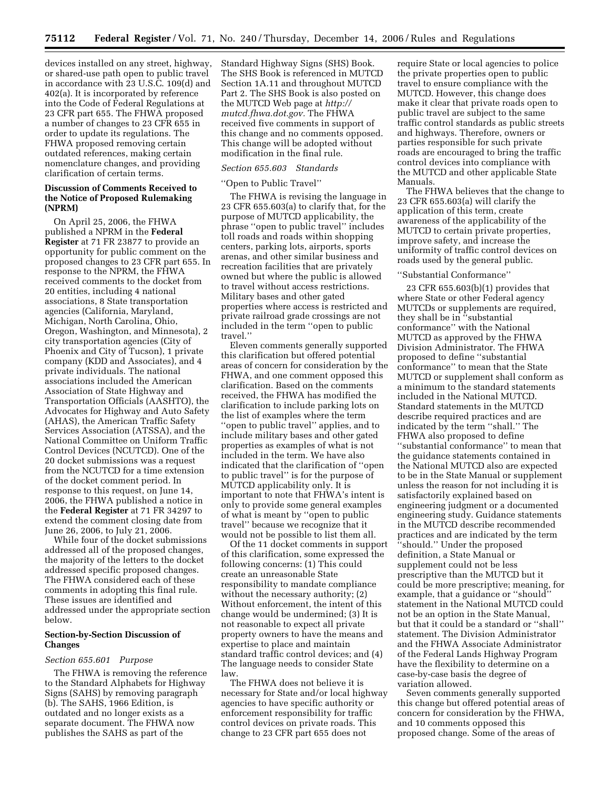devices installed on any street, highway, or shared-use path open to public travel in accordance with 23 U.S.C. 109(d) and 402(a). It is incorporated by reference into the Code of Federal Regulations at 23 CFR part 655. The FHWA proposed a number of changes to 23 CFR 655 in order to update its regulations. The FHWA proposed removing certain outdated references, making certain nomenclature changes, and providing clarification of certain terms.

# **Discussion of Comments Received to the Notice of Proposed Rulemaking (NPRM)**

On April 25, 2006, the FHWA published a NPRM in the **Federal Register** at 71 FR 23877 to provide an opportunity for public comment on the proposed changes to 23 CFR part 655. In response to the NPRM, the FHWA received comments to the docket from 20 entities, including 4 national associations, 8 State transportation agencies (California, Maryland, Michigan, North Carolina, Ohio, Oregon, Washington, and Minnesota), 2 city transportation agencies (City of Phoenix and City of Tucson), 1 private company (KDD and Associates), and 4 private individuals. The national associations included the American Association of State Highway and Transportation Officials (AASHTO), the Advocates for Highway and Auto Safety (AHAS), the American Traffic Safety Services Association (ATSSA), and the National Committee on Uniform Traffic Control Devices (NCUTCD). One of the 20 docket submissions was a request from the NCUTCD for a time extension of the docket comment period. In response to this request, on June 14, 2006, the FHWA published a notice in the **Federal Register** at 71 FR 34297 to extend the comment closing date from June 26, 2006, to July 21, 2006.

While four of the docket submissions addressed all of the proposed changes, the majority of the letters to the docket addressed specific proposed changes. The FHWA considered each of these comments in adopting this final rule. These issues are identified and addressed under the appropriate section below.

# **Section-by-Section Discussion of Changes**

# *Section 655.601 Purpose*

The FHWA is removing the reference to the Standard Alphabets for Highway Signs (SAHS) by removing paragraph (b). The SAHS, 1966 Edition, is outdated and no longer exists as a separate document. The FHWA now publishes the SAHS as part of the

Standard Highway Signs (SHS) Book. The SHS Book is referenced in MUTCD Section 1A.11 and throughout MUTCD Part 2. The SHS Book is also posted on the MUTCD Web page at *http:// mutcd.fhwa.dot.gov.* The FHWA received five comments in support of this change and no comments opposed. This change will be adopted without modification in the final rule.

### *Section 655.603 Standards*

#### ''Open to Public Travel''

The FHWA is revising the language in 23 CFR 655.603(a) to clarify that, for the purpose of MUTCD applicability, the phrase ''open to public travel'' includes toll roads and roads within shopping centers, parking lots, airports, sports arenas, and other similar business and recreation facilities that are privately owned but where the public is allowed to travel without access restrictions. Military bases and other gated properties where access is restricted and private railroad grade crossings are not included in the term ''open to public travel.''

Eleven comments generally supported this clarification but offered potential areas of concern for consideration by the FHWA, and one comment opposed this clarification. Based on the comments received, the FHWA has modified the clarification to include parking lots on the list of examples where the term ''open to public travel'' applies, and to include military bases and other gated properties as examples of what is not included in the term. We have also indicated that the clarification of ''open to public travel'' is for the purpose of MUTCD applicability only. It is important to note that FHWA's intent is only to provide some general examples of what is meant by ''open to public travel'' because we recognize that it would not be possible to list them all.

Of the 11 docket comments in support of this clarification, some expressed the following concerns: (1) This could create an unreasonable State responsibility to mandate compliance without the necessary authority; (2) Without enforcement, the intent of this change would be undermined; (3) It is not reasonable to expect all private property owners to have the means and expertise to place and maintain standard traffic control devices; and (4) The language needs to consider State law.

The FHWA does not believe it is necessary for State and/or local highway agencies to have specific authority or enforcement responsibility for traffic control devices on private roads. This change to 23 CFR part 655 does not

require State or local agencies to police the private properties open to public travel to ensure compliance with the MUTCD. However, this change does make it clear that private roads open to public travel are subject to the same traffic control standards as public streets and highways. Therefore, owners or parties responsible for such private roads are encouraged to bring the traffic control devices into compliance with the MUTCD and other applicable State Manuals.

The FHWA believes that the change to 23 CFR 655.603(a) will clarify the application of this term, create awareness of the applicability of the MUTCD to certain private properties, improve safety, and increase the uniformity of traffic control devices on roads used by the general public.

#### ''Substantial Conformance''

23 CFR 655.603(b)(1) provides that where State or other Federal agency MUTCDs or supplements are required, they shall be in ''substantial conformance'' with the National MUTCD as approved by the FHWA Division Administrator. The FHWA proposed to define ''substantial conformance'' to mean that the State MUTCD or supplement shall conform as a minimum to the standard statements included in the National MUTCD. Standard statements in the MUTCD describe required practices and are indicated by the term ''shall.'' The FHWA also proposed to define ''substantial conformance'' to mean that the guidance statements contained in the National MUTCD also are expected to be in the State Manual or supplement unless the reason for not including it is satisfactorily explained based on engineering judgment or a documented engineering study. Guidance statements in the MUTCD describe recommended practices and are indicated by the term ''should.'' Under the proposed definition, a State Manual or supplement could not be less prescriptive than the MUTCD but it could be more prescriptive; meaning, for example, that a guidance or ''should'' statement in the National MUTCD could not be an option in the State Manual, but that it could be a standard or ''shall'' statement. The Division Administrator and the FHWA Associate Administrator of the Federal Lands Highway Program have the flexibility to determine on a case-by-case basis the degree of variation allowed.

Seven comments generally supported this change but offered potential areas of concern for consideration by the FHWA, and 10 comments opposed this proposed change. Some of the areas of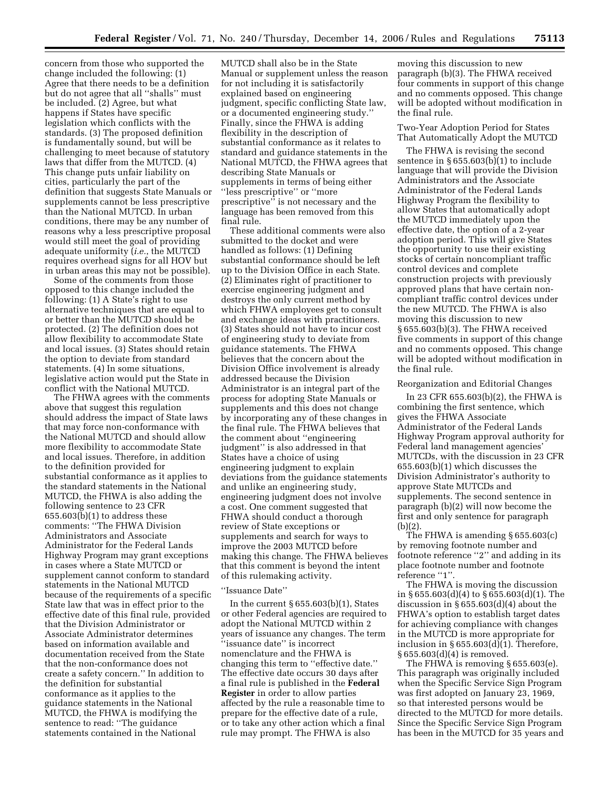concern from those who supported the change included the following: (1) Agree that there needs to be a definition but do not agree that all ''shalls'' must be included. (2) Agree, but what happens if States have specific legislation which conflicts with the standards. (3) The proposed definition is fundamentally sound, but will be challenging to meet because of statutory laws that differ from the MUTCD. (4) This change puts unfair liability on cities, particularly the part of the definition that suggests State Manuals or supplements cannot be less prescriptive than the National MUTCD. In urban conditions, there may be any number of reasons why a less prescriptive proposal would still meet the goal of providing adequate uniformity (*i.e.*, the MUTCD requires overhead signs for all HOV but in urban areas this may not be possible).

Some of the comments from those opposed to this change included the following: (1) A State's right to use alternative techniques that are equal to or better than the MUTCD should be protected. (2) The definition does not allow flexibility to accommodate State and local issues. (3) States should retain the option to deviate from standard statements. (4) In some situations, legislative action would put the State in conflict with the National MUTCD.

The FHWA agrees with the comments above that suggest this regulation should address the impact of State laws that may force non-conformance with the National MUTCD and should allow more flexibility to accommodate State and local issues. Therefore, in addition to the definition provided for substantial conformance as it applies to the standard statements in the National MUTCD, the FHWA is also adding the following sentence to 23 CFR 655.603(b)(1) to address these comments: ''The FHWA Division Administrators and Associate Administrator for the Federal Lands Highway Program may grant exceptions in cases where a State MUTCD or supplement cannot conform to standard statements in the National MUTCD because of the requirements of a specific State law that was in effect prior to the effective date of this final rule, provided that the Division Administrator or Associate Administrator determines based on information available and documentation received from the State that the non-conformance does not create a safety concern.'' In addition to the definition for substantial conformance as it applies to the guidance statements in the National MUTCD, the FHWA is modifying the sentence to read: ''The guidance statements contained in the National

MUTCD shall also be in the State Manual or supplement unless the reason for not including it is satisfactorily explained based on engineering judgment, specific conflicting State law, or a documented engineering study.'' Finally, since the FHWA is adding flexibility in the description of substantial conformance as it relates to standard and guidance statements in the National MUTCD, the FHWA agrees that describing State Manuals or supplements in terms of being either ''less prescriptive'' or ''more prescriptive'' is not necessary and the language has been removed from this final rule.

These additional comments were also submitted to the docket and were handled as follows: (1) Defining substantial conformance should be left up to the Division Office in each State. (2) Eliminates right of practitioner to exercise engineering judgment and destroys the only current method by which FHWA employees get to consult and exchange ideas with practitioners. (3) States should not have to incur cost of engineering study to deviate from guidance statements. The FHWA believes that the concern about the Division Office involvement is already addressed because the Division Administrator is an integral part of the process for adopting State Manuals or supplements and this does not change by incorporating any of these changes in the final rule. The FHWA believes that the comment about ''engineering judgment'' is also addressed in that States have a choice of using engineering judgment to explain deviations from the guidance statements and unlike an engineering study, engineering judgment does not involve a cost. One comment suggested that FHWA should conduct a thorough review of State exceptions or supplements and search for ways to improve the 2003 MUTCD before making this change. The FHWA believes that this comment is beyond the intent of this rulemaking activity.

#### ''Issuance Date''

In the current  $\S 655.603(b)(1)$ , States or other Federal agencies are required to adopt the National MUTCD within 2 years of issuance any changes. The term ''issuance date'' is incorrect nomenclature and the FHWA is changing this term to ''effective date.'' The effective date occurs 30 days after a final rule is published in the **Federal Register** in order to allow parties affected by the rule a reasonable time to prepare for the effective date of a rule, or to take any other action which a final rule may prompt. The FHWA is also

moving this discussion to new paragraph (b)(3). The FHWA received four comments in support of this change and no comments opposed. This change will be adopted without modification in the final rule.

# Two-Year Adoption Period for States That Automatically Adopt the MUTCD

The FHWA is revising the second sentence in § 655.603(b)(1) to include language that will provide the Division Administrators and the Associate Administrator of the Federal Lands Highway Program the flexibility to allow States that automatically adopt the MUTCD immediately upon the effective date, the option of a 2-year adoption period. This will give States the opportunity to use their existing stocks of certain noncompliant traffic control devices and complete construction projects with previously approved plans that have certain noncompliant traffic control devices under the new MUTCD. The FHWA is also moving this discussion to new § 655.603(b)(3). The FHWA received five comments in support of this change and no comments opposed. This change will be adopted without modification in the final rule.

# Reorganization and Editorial Changes

In 23 CFR 655.603(b)(2), the FHWA is combining the first sentence, which gives the FHWA Associate Administrator of the Federal Lands Highway Program approval authority for Federal land management agencies' MUTCDs, with the discussion in 23 CFR 655.603(b)(1) which discusses the Division Administrator's authority to approve State MUTCDs and supplements. The second sentence in paragraph (b)(2) will now become the first and only sentence for paragraph (b)(2).

The FHWA is amending § 655.603(c) by removing footnote number and footnote reference ''2'' and adding in its place footnote number and footnote reference "1".

The FHWA is moving the discussion in § 655.603(d)(4) to § 655.603(d)(1). The discussion in § 655.603(d)(4) about the FHWA's option to establish target dates for achieving compliance with changes in the MUTCD is more appropriate for inclusion in § 655.603(d)(1). Therefore, § 655.603(d)(4) is removed.

The FHWA is removing § 655.603(e). This paragraph was originally included when the Specific Service Sign Program was first adopted on January 23, 1969, so that interested persons would be directed to the MUTCD for more details. Since the Specific Service Sign Program has been in the MUTCD for 35 years and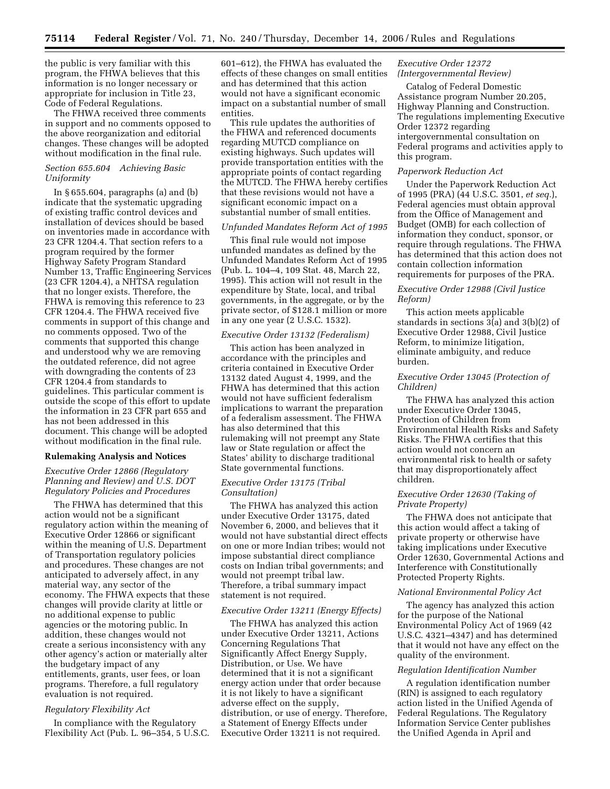the public is very familiar with this program, the FHWA believes that this information is no longer necessary or appropriate for inclusion in Title 23, Code of Federal Regulations.

The FHWA received three comments in support and no comments opposed to the above reorganization and editorial changes. These changes will be adopted without modification in the final rule.

# *Section 655.604 Achieving Basic Uniformity*

In § 655.604, paragraphs (a) and (b) indicate that the systematic upgrading of existing traffic control devices and installation of devices should be based on inventories made in accordance with 23 CFR 1204.4. That section refers to a program required by the former Highway Safety Program Standard Number 13, Traffic Engineering Services (23 CFR 1204.4), a NHTSA regulation that no longer exists. Therefore, the FHWA is removing this reference to 23 CFR 1204.4. The FHWA received five comments in support of this change and no comments opposed. Two of the comments that supported this change and understood why we are removing the outdated reference, did not agree with downgrading the contents of 23 CFR 1204.4 from standards to guidelines. This particular comment is outside the scope of this effort to update the information in 23 CFR part 655 and has not been addressed in this document. This change will be adopted without modification in the final rule.

### **Rulemaking Analysis and Notices**

# *Executive Order 12866 (Regulatory Planning and Review) and U.S. DOT Regulatory Policies and Procedures*

The FHWA has determined that this action would not be a significant regulatory action within the meaning of Executive Order 12866 or significant within the meaning of U.S. Department of Transportation regulatory policies and procedures. These changes are not anticipated to adversely affect, in any material way, any sector of the economy. The FHWA expects that these changes will provide clarity at little or no additional expense to public agencies or the motoring public. In addition, these changes would not create a serious inconsistency with any other agency's action or materially alter the budgetary impact of any entitlements, grants, user fees, or loan programs. Therefore, a full regulatory evaluation is not required.

# *Regulatory Flexibility Act*

In compliance with the Regulatory Flexibility Act (Pub. L. 96–354, 5 U.S.C. 601–612), the FHWA has evaluated the effects of these changes on small entities and has determined that this action would not have a significant economic impact on a substantial number of small entities.

This rule updates the authorities of the FHWA and referenced documents regarding MUTCD compliance on existing highways. Such updates will provide transportation entities with the appropriate points of contact regarding the MUTCD. The FHWA hereby certifies that these revisions would not have a significant economic impact on a substantial number of small entities.

#### *Unfunded Mandates Reform Act of 1995*

This final rule would not impose unfunded mandates as defined by the Unfunded Mandates Reform Act of 1995 (Pub. L. 104–4, 109 Stat. 48, March 22, 1995). This action will not result in the expenditure by State, local, and tribal governments, in the aggregate, or by the private sector, of \$128.1 million or more in any one year (2 U.S.C. 1532).

#### *Executive Order 13132 (Federalism)*

This action has been analyzed in accordance with the principles and criteria contained in Executive Order 13132 dated August 4, 1999, and the FHWA has determined that this action would not have sufficient federalism implications to warrant the preparation of a federalism assessment. The FHWA has also determined that this rulemaking will not preempt any State law or State regulation or affect the States' ability to discharge traditional State governmental functions.

# *Executive Order 13175 (Tribal Consultation)*

The FHWA has analyzed this action under Executive Order 13175, dated November 6, 2000, and believes that it would not have substantial direct effects on one or more Indian tribes; would not impose substantial direct compliance costs on Indian tribal governments; and would not preempt tribal law. Therefore, a tribal summary impact statement is not required.

#### *Executive Order 13211 (Energy Effects)*

The FHWA has analyzed this action under Executive Order 13211, Actions Concerning Regulations That Significantly Affect Energy Supply, Distribution, or Use. We have determined that it is not a significant energy action under that order because it is not likely to have a significant adverse effect on the supply, distribution, or use of energy. Therefore, a Statement of Energy Effects under Executive Order 13211 is not required.

# *Executive Order 12372 (Intergovernmental Review)*

Catalog of Federal Domestic Assistance program Number 20.205, Highway Planning and Construction. The regulations implementing Executive Order 12372 regarding intergovernmental consultation on Federal programs and activities apply to this program.

### *Paperwork Reduction Act*

Under the Paperwork Reduction Act of 1995 (PRA) (44 U.S.C. 3501, *et seq.*), Federal agencies must obtain approval from the Office of Management and Budget (OMB) for each collection of information they conduct, sponsor, or require through regulations. The FHWA has determined that this action does not contain collection information requirements for purposes of the PRA.

# *Executive Order 12988 (Civil Justice Reform)*

This action meets applicable standards in sections 3(a) and 3(b)(2) of Executive Order 12988, Civil Justice Reform, to minimize litigation, eliminate ambiguity, and reduce burden.

# *Executive Order 13045 (Protection of Children)*

The FHWA has analyzed this action under Executive Order 13045, Protection of Children from Environmental Health Risks and Safety Risks. The FHWA certifies that this action would not concern an environmental risk to health or safety that may disproportionately affect children.

# *Executive Order 12630 (Taking of Private Property)*

The FHWA does not anticipate that this action would affect a taking of private property or otherwise have taking implications under Executive Order 12630, Governmental Actions and Interference with Constitutionally Protected Property Rights.

#### *National Environmental Policy Act*

The agency has analyzed this action for the purpose of the National Environmental Policy Act of 1969 (42 U.S.C. 4321–4347) and has determined that it would not have any effect on the quality of the environment.

#### *Regulation Identification Number*

A regulation identification number (RIN) is assigned to each regulatory action listed in the Unified Agenda of Federal Regulations. The Regulatory Information Service Center publishes the Unified Agenda in April and